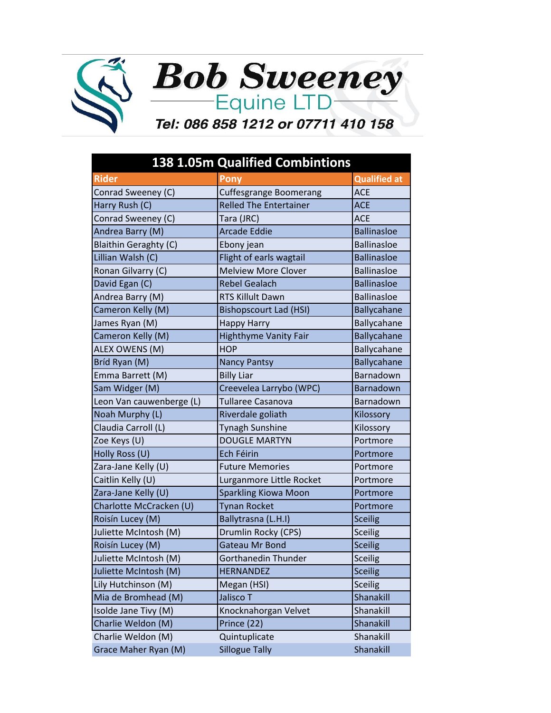



## Tel: 086 858 1212 or 07711 410 158

|                              | <b>138 1.05m Qualified Combintions</b> |                     |
|------------------------------|----------------------------------------|---------------------|
| <b>Rider</b>                 | Pony                                   | <b>Qualified at</b> |
| Conrad Sweeney (C)           | <b>Cuffesgrange Boomerang</b>          | <b>ACE</b>          |
| Harry Rush (C)               | <b>Relled The Entertainer</b>          | <b>ACE</b>          |
| Conrad Sweeney (C)           | Tara (JRC)                             | <b>ACE</b>          |
| Andrea Barry (M)             | <b>Arcade Eddie</b>                    | <b>Ballinasloe</b>  |
| <b>Blaithin Geraghty (C)</b> | Ebony jean                             | <b>Ballinasloe</b>  |
| Lillian Walsh (C)            | Flight of earls wagtail                | <b>Ballinasloe</b>  |
| Ronan Gilvarry (C)           | <b>Melview More Clover</b>             | <b>Ballinasloe</b>  |
| David Egan (C)               | <b>Rebel Gealach</b>                   | <b>Ballinasloe</b>  |
| Andrea Barry (M)             | <b>RTS Killult Dawn</b>                | <b>Ballinasloe</b>  |
| Cameron Kelly (M)            | <b>Bishopscourt Lad (HSI)</b>          | Ballycahane         |
| James Ryan (M)               | <b>Happy Harry</b>                     | Ballycahane         |
| Cameron Kelly (M)            | Highthyme Vanity Fair                  | Ballycahane         |
| ALEX OWENS (M)               | <b>HOP</b>                             | Ballycahane         |
| Bríd Ryan (M)                | <b>Nancy Pantsy</b>                    | Ballycahane         |
| Emma Barrett (M)             | <b>Billy Liar</b>                      | Barnadown           |
| Sam Widger (M)               | Creevelea Larrybo (WPC)                | Barnadown           |
| Leon Van cauwenberge (L)     | <b>Tullaree Casanova</b>               | Barnadown           |
| Noah Murphy (L)              | Riverdale goliath                      | Kilossory           |
| Claudia Carroll (L)          | <b>Tynagh Sunshine</b>                 | Kilossory           |
| Zoe Keys (U)                 | <b>DOUGLE MARTYN</b>                   | Portmore            |
| Holly Ross (U)               | Ech Féirin                             | Portmore            |
| Zara-Jane Kelly (U)          | <b>Future Memories</b>                 | Portmore            |
| Caitlin Kelly (U)            | Lurganmore Little Rocket               | Portmore            |
| Zara-Jane Kelly (U)          | <b>Sparkling Kiowa Moon</b>            | Portmore            |
| Charlotte McCracken (U)      | <b>Tynan Rocket</b>                    | Portmore            |
| Roisín Lucey (M)             | Ballytrasna (L.H.I)                    | <b>Sceilig</b>      |
| Juliette McIntosh (M)        | Drumlin Rocky (CPS)                    | <b>Sceilig</b>      |
| Roisín Lucey (M)             | <b>Gateau Mr Bond</b>                  | <b>Sceilig</b>      |
| Juliette McIntosh (M)        | Gorthanedin Thunder                    | Sceilig             |
| Juliette McIntosh (M)        | <b>HERNANDEZ</b>                       | <b>Sceilig</b>      |
| Lily Hutchinson (M)          | Megan (HSI)                            | <b>Sceilig</b>      |
| Mia de Bromhead (M)          | Jalisco T                              | Shanakill           |
| Isolde Jane Tivy (M)         | Knocknahorgan Velvet                   | Shanakill           |
| Charlie Weldon (M)           | Prince (22)                            | Shanakill           |
| Charlie Weldon (M)           | Quintuplicate                          | Shanakill           |
| Grace Maher Ryan (M)         | <b>Sillogue Tally</b>                  | Shanakill           |